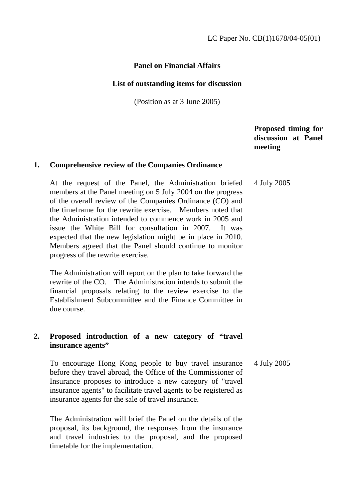# **Panel on Financial Affairs**

#### **List of outstanding items for discussion**

(Position as at 3 June 2005)

 **Proposed timing for discussion at Panel meeting** 

#### **1. Comprehensive review of the Companies Ordinance**

 At the request of the Panel, the Administration briefed members at the Panel meeting on 5 July 2004 on the progress of the overall review of the Companies Ordinance (CO) and the timeframe for the rewrite exercise. Members noted that the Administration intended to commence work in 2005 and issue the White Bill for consultation in 2007. It was expected that the new legislation might be in place in 2010. Members agreed that the Panel should continue to monitor progress of the rewrite exercise. 4 July 2005

 The Administration will report on the plan to take forward the rewrite of the CO. The Administration intends to submit the financial proposals relating to the review exercise to the Establishment Subcommittee and the Finance Committee in due course.

## **2. Proposed introduction of a new category of "travel insurance agents"**

 To encourage Hong Kong people to buy travel insurance before they travel abroad, the Office of the Commissioner of Insurance proposes to introduce a new category of "travel insurance agents" to facilitate travel agents to be registered as insurance agents for the sale of travel insurance. 4 July 2005

 The Administration will brief the Panel on the details of the proposal, its background, the responses from the insurance and travel industries to the proposal, and the proposed timetable for the implementation.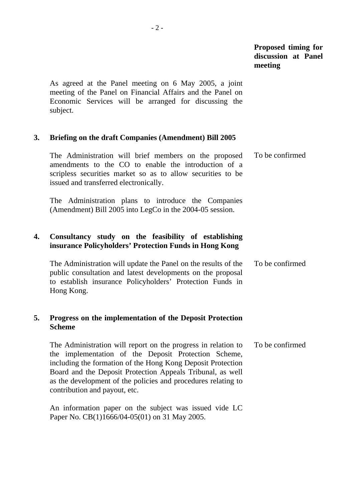As agreed at the Panel meeting on 6 May 2005, a joint meeting of the Panel on Financial Affairs and the Panel on Economic Services will be arranged for discussing the subject.

### **3. Briefing on the draft Companies (Amendment) Bill 2005**

 The Administration will brief members on the proposed amendments to the CO to enable the introduction of a scripless securities market so as to allow securities to be issued and transferred electronically. To be confirmed

 The Administration plans to introduce the Companies (Amendment) Bill 2005 into LegCo in the 2004-05 session.

# **4. Consultancy study on the feasibility of establishing insurance Policyholders' Protection Funds in Hong Kong**

 The Administration will update the Panel on the results of the public consultation and latest developments on the proposal to establish insurance Policyholders' Protection Funds in Hong Kong. To be confirmed

### **5. Progress on the implementation of the Deposit Protection Scheme**

 The Administration will report on the progress in relation to the implementation of the Deposit Protection Scheme, including the formation of the Hong Kong Deposit Protection Board and the Deposit Protection Appeals Tribunal, as well as the development of the policies and procedures relating to contribution and payout, etc. To be confirmed

 An information paper on the subject was issued vide LC Paper No. CB(1)1666/04-05(01) on 31 May 2005.